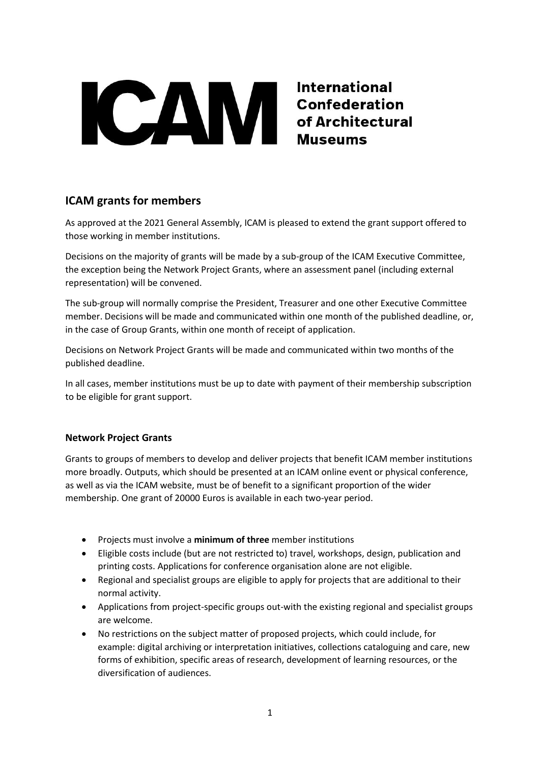

# **ICAM grants for members**

As approved at the 2021 General Assembly, ICAM is pleased to extend the grant support offered to those working in member institutions.

Decisions on the majority of grants will be made by a sub-group of the ICAM Executive Committee, the exception being the Network Project Grants, where an assessment panel (including external representation) will be convened.

The sub-group will normally comprise the President, Treasurer and one other Executive Committee member. Decisions will be made and communicated within one month of the published deadline, or, in the case of Group Grants, within one month of receipt of application.

Decisions on Network Project Grants will be made and communicated within two months of the published deadline.

In all cases, member institutions must be up to date with payment of their membership subscription to be eligible for grant support.

## **Network Project Grants**

Grants to groups of members to develop and deliver projects that benefit ICAM member institutions more broadly. Outputs, which should be presented at an ICAM online event or physical conference, as well as via the ICAM website, must be of benefit to a significant proportion of the wider membership. One grant of 20000 Euros is available in each two-year period.

- Projects must involve a **minimum of three** member institutions
- Eligible costs include (but are not restricted to) travel, workshops, design, publication and printing costs. Applications for conference organisation alone are not eligible.
- Regional and specialist groups are eligible to apply for projects that are additional to their normal activity.
- Applications from project-specific groups out-with the existing regional and specialist groups are welcome.
- No restrictions on the subject matter of proposed projects, which could include, for example: digital archiving or interpretation initiatives, collections cataloguing and care, new forms of exhibition, specific areas of research, development of learning resources, or the diversification of audiences.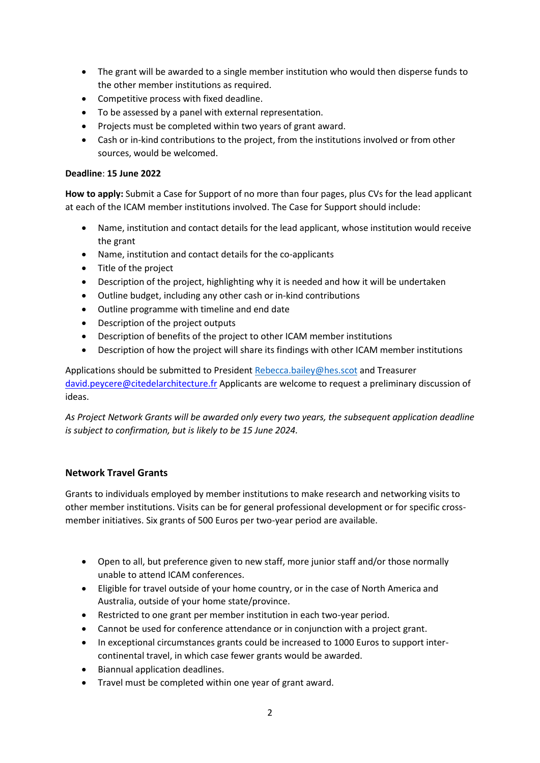- The grant will be awarded to a single member institution who would then disperse funds to the other member institutions as required.
- Competitive process with fixed deadline.
- To be assessed by a panel with external representation.
- Projects must be completed within two years of grant award.
- Cash or in-kind contributions to the project, from the institutions involved or from other sources, would be welcomed.

#### **Deadline**: **15 June 2022**

**How to apply:** Submit a Case for Support of no more than four pages, plus CVs for the lead applicant at each of the ICAM member institutions involved. The Case for Support should include:

- Name, institution and contact details for the lead applicant, whose institution would receive the grant
- Name, institution and contact details for the co-applicants
- Title of the project
- Description of the project, highlighting why it is needed and how it will be undertaken
- Outline budget, including any other cash or in-kind contributions
- Outline programme with timeline and end date
- Description of the project outputs
- Description of benefits of the project to other ICAM member institutions
- Description of how the project will share its findings with other ICAM member institutions

Applications should be submitted to President [Rebecca.bailey@hes.scot](mailto:Rebecca.bailey@hes.scot) and Treasurer [david.peycere@citedelarchitecture.fr](mailto:david.peycere@citedelarchitecture.fr) Applicants are welcome to request a preliminary discussion of ideas.

*As Project Network Grants will be awarded only every two years, the subsequent application deadline is subject to confirmation, but is likely to be 15 June 2024.*

## **Network Travel Grants**

Grants to individuals employed by member institutions to make research and networking visits to other member institutions. Visits can be for general professional development or for specific crossmember initiatives. Six grants of 500 Euros per two-year period are available.

- Open to all, but preference given to new staff, more junior staff and/or those normally unable to attend ICAM conferences.
- Eligible for travel outside of your home country, or in the case of North America and Australia, outside of your home state/province.
- Restricted to one grant per member institution in each two-year period.
- Cannot be used for conference attendance or in conjunction with a project grant.
- In exceptional circumstances grants could be increased to 1000 Euros to support intercontinental travel, in which case fewer grants would be awarded.
- Biannual application deadlines.
- Travel must be completed within one year of grant award.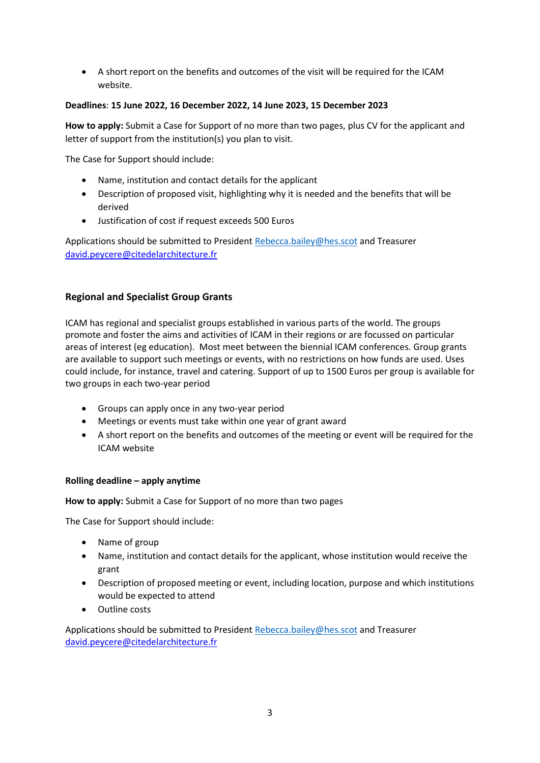• A short report on the benefits and outcomes of the visit will be required for the ICAM website.

## **Deadlines**: **15 June 2022, 16 December 2022, 14 June 2023, 15 December 2023**

**How to apply:** Submit a Case for Support of no more than two pages, plus CV for the applicant and letter of support from the institution(s) you plan to visit.

The Case for Support should include:

- Name, institution and contact details for the applicant
- Description of proposed visit, highlighting why it is needed and the benefits that will be derived
- Justification of cost if request exceeds 500 Euros

Applications should be submitted to President [Rebecca.bailey@hes.scot](mailto:Rebecca.bailey@hes.scot) and Treasurer [david.peycere@citedelarchitecture.fr](mailto:david.peycere@citedelarchitecture.fr)

## **Regional and Specialist Group Grants**

ICAM has regional and specialist groups established in various parts of the world. The groups promote and foster the aims and activities of ICAM in their regions or are focussed on particular areas of interest (eg education). Most meet between the biennial ICAM conferences. Group grants are available to support such meetings or events, with no restrictions on how funds are used. Uses could include, for instance, travel and catering. Support of up to 1500 Euros per group is available for two groups in each two-year period

- Groups can apply once in any two-year period
- Meetings or events must take within one year of grant award
- A short report on the benefits and outcomes of the meeting or event will be required for the ICAM website

#### **Rolling deadline – apply anytime**

**How to apply:** Submit a Case for Support of no more than two pages

The Case for Support should include:

- Name of group
- Name, institution and contact details for the applicant, whose institution would receive the grant
- Description of proposed meeting or event, including location, purpose and which institutions would be expected to attend
- Outline costs

Applications should be submitted to President [Rebecca.bailey@hes.scot](mailto:Rebecca.bailey@hes.scot) and Treasurer [david.peycere@citedelarchitecture.fr](mailto:david.peycere@citedelarchitecture.fr)